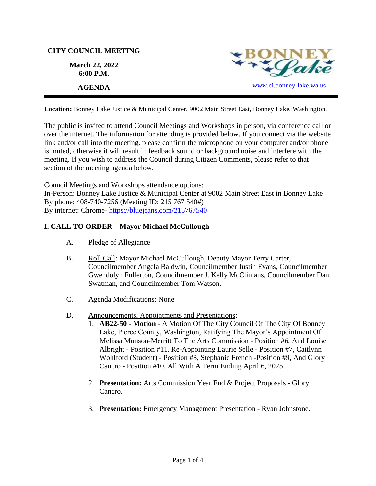# **CITY COUNCIL MEETING**

**March 22, 2022 6:00 P.M.**



**Location:** Bonney Lake Justice & Municipal Center, 9002 Main Street East, Bonney Lake, Washington.

The public is invited to attend Council Meetings and Workshops in person, via conference call or over the internet. The information for attending is provided below. If you connect via the website link and/or call into the meeting, please confirm the microphone on your computer and/or phone is muted, otherwise it will result in feedback sound or background noise and interfere with the meeting. If you wish to address the Council during Citizen Comments, please refer to that section of the meeting agenda below.

Council Meetings and Workshops attendance options: In-Person: Bonney Lake Justice & Municipal Center at 9002 Main Street East in Bonney Lake By phone: 408-740-7256 (Meeting ID: 215 767 540#) By internet: Chrome- [https://bluejeans.com/215767540](https://bluejeans.com/215767540?src=calendarLink&flow=joinmeeting)

# **I. CALL TO ORDER – Mayor Michael McCullough**

- A. Pledge of Allegiance
- B. Roll Call: Mayor Michael McCullough, Deputy Mayor Terry Carter, Councilmember Angela Baldwin, Councilmember Justin Evans, Councilmember Gwendolyn Fullerton, Councilmember J. Kelly McClimans, Councilmember Dan Swatman, and Councilmember Tom Watson.
- C. Agenda Modifications: None
- D. Announcements, Appointments and Presentations:
	- 1. **AB22-50 Motion** A Motion Of The City Council Of The City Of Bonney Lake, Pierce County, Washington, Ratifying The Mayor's Appointment Of Melissa Munson-Merritt To The Arts Commission - Position #6, And Louise Albright - Position #11. Re-Appointing Laurie Selle - Position #7, Caitlynn Wohlford (Student) - Position #8, Stephanie French -Position #9, And Glory Cancro - Position #10, All With A Term Ending April 6, 2025.
	- 2. **Presentation:** Arts Commission Year End & Project Proposals Glory Cancro.
	- 3. **Presentation:** Emergency Management Presentation Ryan Johnstone.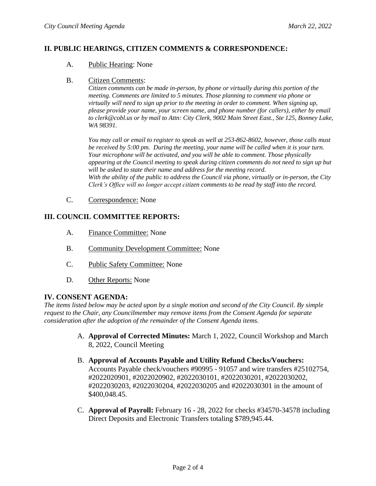## **II. PUBLIC HEARINGS, CITIZEN COMMENTS & CORRESPONDENCE:**

#### A. Public Hearing: None

#### B. Citizen Comments:

*Citizen comments can be made in-person, by phone or virtually during this portion of the meeting. Comments are limited to 5 minutes. Those planning to comment via phone or virtually will need to sign up prior to the meeting in order to comment. When signing up, please provide your name, your screen name, and phone number (for callers), either by email to clerk@cobl.us or by mail to Attn: City Clerk, 9002 Main Street East., Ste 125, Bonney Lake, WA 98391.*

*You may call or email to register to speak as well at 253-862-8602, however, those calls must be received by 5:00 pm. During the meeting, your name will be called when it is your turn. Your microphone will be activated, and you will be able to comment. Those physically appearing at the Council meeting to speak during citizen comments do not need to sign up but will be asked to state their name and address for the meeting record. With the ability of the public to address the Council via phone, virtually or in-person, the City Clerk's Office will no longer accept citizen comments to be read by staff into the record.*

C. Correspondence: None

### **III. COUNCIL COMMITTEE REPORTS:**

- A. Finance Committee: None
- B. Community Development Committee: None
- C. Public Safety Committee: None
- D. Other Reports: None

### **IV. CONSENT AGENDA:**

*The items listed below may be acted upon by a single motion and second of the City Council. By simple request to the Chair, any Councilmember may remove items from the Consent Agenda for separate consideration after the adoption of the remainder of the Consent Agenda items.*

- A. **Approval of Corrected Minutes:** March 1, 2022, Council Workshop and March 8, 2022, Council Meeting
- B. **Approval of Accounts Payable and Utility Refund Checks/Vouchers:** Accounts Payable check/vouchers #90995 - 91057 and wire transfers #25102754, #2022020901, #2022020902, #2022030101, #2022030201, #2022030202, #2022030203, #2022030204, #2022030205 and #2022030301 in the amount of \$400,048.45.
- C. **Approval of Payroll:** February 16 28, 2022 for checks #34570-34578 including Direct Deposits and Electronic Transfers totaling \$789,945.44.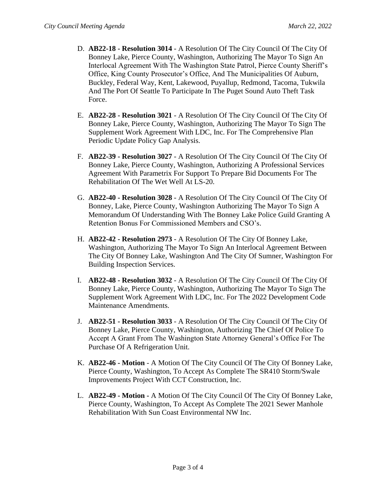- D. **AB22-18 - Resolution 3014** A Resolution Of The City Council Of The City Of Bonney Lake, Pierce County, Washington, Authorizing The Mayor To Sign An Interlocal Agreement With The Washington State Patrol, Pierce County Sheriff's Office, King County Prosecutor's Office, And The Municipalities Of Auburn, Buckley, Federal Way, Kent, Lakewood, Puyallup, Redmond, Tacoma, Tukwila And The Port Of Seattle To Participate In The Puget Sound Auto Theft Task Force.
- E. **AB22-28 - Resolution 3021** A Resolution Of The City Council Of The City Of Bonney Lake, Pierce County, Washington, Authorizing The Mayor To Sign The Supplement Work Agreement With LDC, Inc. For The Comprehensive Plan Periodic Update Policy Gap Analysis.
- F. **AB22-39 - Resolution 3027** A Resolution Of The City Council Of The City Of Bonney Lake, Pierce County, Washington, Authorizing A Professional Services Agreement With Parametrix For Support To Prepare Bid Documents For The Rehabilitation Of The Wet Well At LS-20.
- G. **AB22-40 - Resolution 3028** A Resolution Of The City Council Of The City Of Bonney, Lake, Pierce County, Washington Authorizing The Mayor To Sign A Memorandum Of Understanding With The Bonney Lake Police Guild Granting A Retention Bonus For Commissioned Members and CSO's.
- H. **AB22-42 - Resolution 2973**  A Resolution Of The City Of Bonney Lake, Washington, Authorizing The Mayor To Sign An Interlocal Agreement Between The City Of Bonney Lake, Washington And The City Of Sumner, Washington For Building Inspection Services.
- I. **AB22-48 - Resolution 3032** A Resolution Of The City Council Of The City Of Bonney Lake, Pierce County, Washington, Authorizing The Mayor To Sign The Supplement Work Agreement With LDC, Inc. For The 2022 Development Code Maintenance Amendments.
- J. **AB22-51 - Resolution 3033** A Resolution Of The City Council Of The City Of Bonney Lake, Pierce County, Washington, Authorizing The Chief Of Police To Accept A Grant From The Washington State Attorney General's Office For The Purchase Of A Refrigeration Unit.
- K. **AB22-46 - Motion** A Motion Of The City Council Of The City Of Bonney Lake, Pierce County, Washington, To Accept As Complete The SR410 Storm/Swale Improvements Project With CCT Construction, Inc.
- L. **AB22-49 - Motion -** A Motion Of The City Council Of The City Of Bonney Lake, Pierce County, Washington, To Accept As Complete The 2021 Sewer Manhole Rehabilitation With Sun Coast Environmental NW Inc.